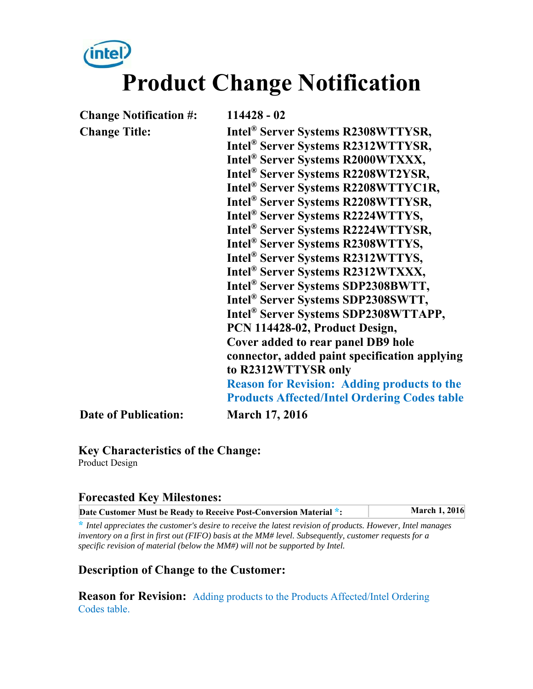# **Product Change Notification**

**Change Notification #: 114428 - 02** 

**Change Title: Intel® Server Systems R2308WTTYSR, Intel® Server Systems R2312WTTYSR, Intel® Server Systems R2000WTXXX, Intel® Server Systems R2208WT2YSR, Intel® Server Systems R2208WTTYC1R, Intel® Server Systems R2208WTTYSR, Intel® Server Systems R2224WTTYS, Intel® Server Systems R2224WTTYSR, Intel® Server Systems R2308WTTYS, Intel® Server Systems R2312WTTYS, Intel® Server Systems R2312WTXXX, Intel® Server Systems SDP2308BWTT, Intel® Server Systems SDP2308SWTT, Intel® Server Systems SDP2308WTTAPP, PCN 114428-02, Product Design, Cover added to rear panel DB9 hole connector, added paint specification applying to R2312WTTYSR only Reason for Revision: Adding products to the Products Affected/Intel Ordering Codes table**

**Date of Publication: March 17, 2016**

**Key Characteristics of the Change:**  Product Design

#### **Forecasted Key Milestones:**

**\*** *Intel appreciates the customer's desire to receive the latest revision of products. However, Intel manages inventory on a first in first out (FIFO) basis at the MM# level. Subsequently, customer requests for a specific revision of material (below the MM#) will not be supported by Intel.*

#### **Description of Change to the Customer:**

**Reason for Revision:** Adding products to the Products Affected/Intel Ordering Codes table.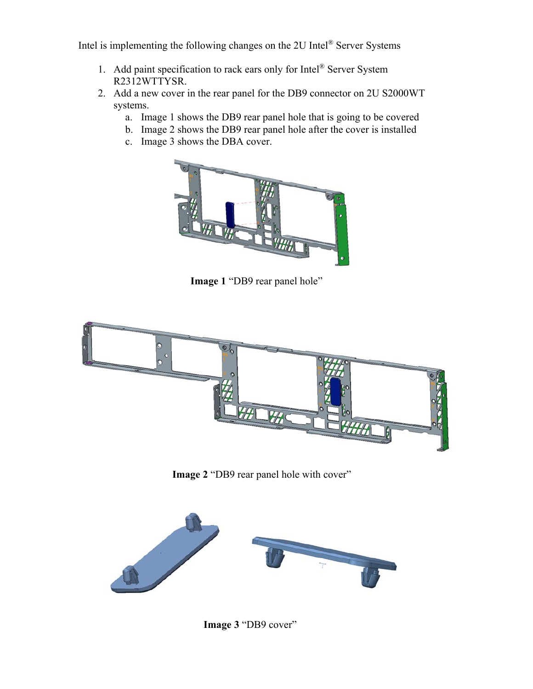Intel is implementing the following changes on the 2U Intel® Server Systems

- 1. Add paint specification to rack ears only for Intel® Server System R2312WTTYSR.
- 2. Add a new cover in the rear panel for the DB9 connector on 2U S2000WT systems.
	- a. Image 1 shows the DB9 rear panel hole that is going to be covered
	- b. Image 2 shows the DB9 rear panel hole after the cover is installed
	- c. Image 3 shows the DBA cover.



 **Image 1** "DB9 rear panel hole"



**Image 2** "DB9 rear panel hole with cover"



**Image 3** "DB9 cover"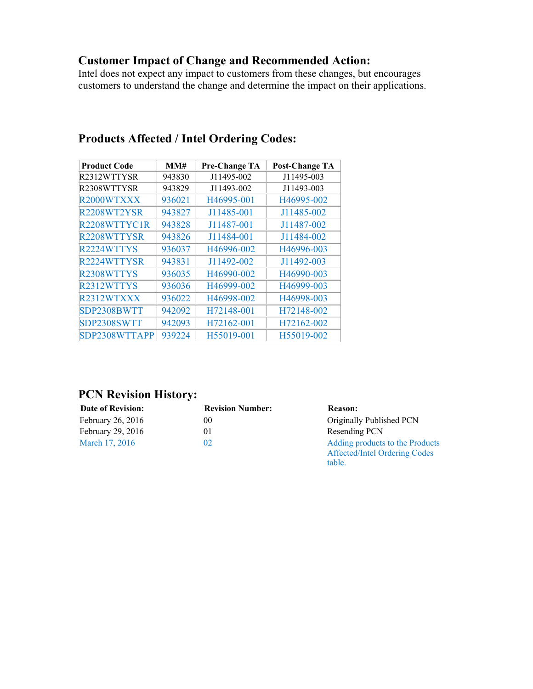#### **Customer Impact of Change and Recommended Action:**

Intel does not expect any impact to customers from these changes, but encourages customers to understand the change and determine the impact on their applications.

| <b>Product Code</b> | MM#    | <b>Pre-Change TA</b> | <b>Post-Change TA</b> |
|---------------------|--------|----------------------|-----------------------|
| R2312WTTYSR         | 943830 | J11495-002           | J11495-003            |
| R2308WTTYSR         | 943829 | J11493-002           | J11493-003            |
| R2000WTXXX          | 936021 | H46995-001           | H46995-002            |
| R2208WT2YSR         | 943827 | J11485-001           | J11485-002            |
| R2208WTTYC1R        | 943828 | J11487-001           | J11487-002            |
| R2208WTTYSR         | 943826 | J11484-001           | J11484-002            |
| R2224WTTYS          | 936037 | H46996-002           | H46996-003            |
| R2224WTTYSR         | 943831 | J11492-002           | J11492-003            |
| R2308WTTYS          | 936035 | H46990-002           | H46990-003            |
| R2312WTTYS          | 936036 | H46999-002           | H46999-003            |
| R2312WTXXX          | 936022 | H46998-002           | H46998-003            |
| SDP2308BWTT         | 942092 | H72148-001           | H72148-002            |
| SDP2308SWTT         | 942093 | H72162-001           | H72162-002            |
| SDP2308WTTAPP       | 939224 | H55019-001           | H55019-002            |

## **Products Affected / Intel Ordering Codes:**

## **PCN Revision History:**

| <b>Date of Revision:</b> | <b>Revision Number:</b> | <b>Reason:</b>                                                                    |
|--------------------------|-------------------------|-----------------------------------------------------------------------------------|
| February $26, 2016$      | 00                      | Originally Published PCN                                                          |
| February 29, 2016        | 01                      | Resending PCN                                                                     |
| March 17, 2016           | 02                      | Adding products to the Products<br><b>Affected/Intel Ordering Codes</b><br>table. |